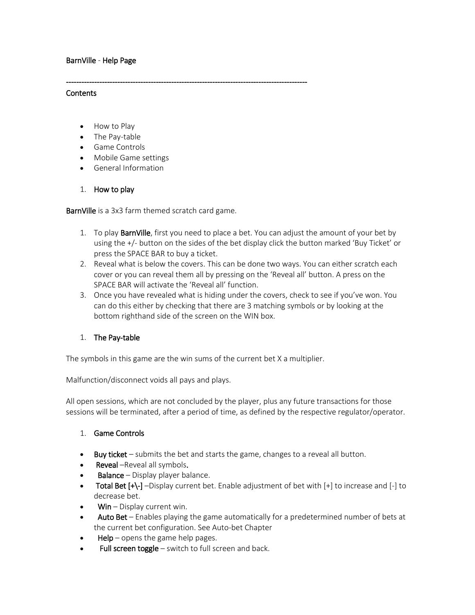## BarnVille - Help Page

#### **Contents**

- How to Play
- The Pay-table
- Game Controls
- Mobile Game settings
- General Information

### 1. How to play

BarnVille is a 3x3 farm themed scratch card game.

----------------------------------------------------------------------------------------------

- 1. To play **BarnVille**, first you need to place a bet. You can adjust the amount of your bet by using the +/- button on the sides of the bet display click the button marked 'Buy Ticket' or press the SPACE BAR to buy a ticket.
- 2. Reveal what is below the covers. This can be done two ways. You can either scratch each cover or you can reveal them all by pressing on the 'Reveal all' button. A press on the SPACE BAR will activate the 'Reveal all' function.
- 3. Once you have revealed what is hiding under the covers, check to see if you've won. You can do this either by checking that there are 3 matching symbols or by looking at the bottom righthand side of the screen on the WIN box.

## 1. The Pay-table

The symbols in this game are the win sums of the current bet X a multiplier.

Malfunction/disconnect voids all pays and plays.

All open sessions, which are not concluded by the player, plus any future transactions for those sessions will be terminated, after a period of time, as defined by the respective regulator/operator.

### 1. Game Controls

- **Buy ticket** submits the bet and starts the game, changes to a reveal all button.
- **Reveal** –Reveal all symbols.
- **Balance** Display player balance.
- **Total Bet [+\-]** –Display current bet. Enable adjustment of bet with [+] to increase and [-] to decrease bet.
- $W$ in Display current win.
- Auto Bet Enables playing the game automatically for a predetermined number of bets at the current bet configuration. See Auto-bet Chapter
- $HeIp$  opens the game help pages.
- Full screen toggle  $-$  switch to full screen and back.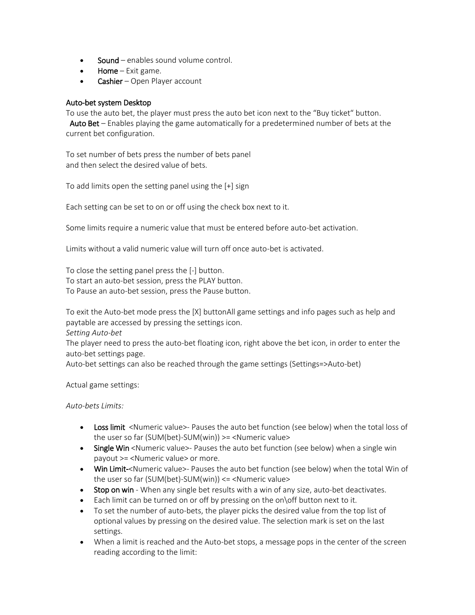- Sound enables sound volume control.
- **Home** Exit game.
- Cashier Open Player account

### Auto-bet system Desktop

To use the auto bet, the player must press the auto bet icon next to the "Buy ticket" button. Auto Bet – Enables playing the game automatically for a predetermined number of bets at the current bet configuration.

To set number of bets press the number of bets panel and then select the desired value of bets.

To add limits open the setting panel using the [+] sign

Each setting can be set to on or off using the check box next to it.

Some limits require a numeric value that must be entered before auto-bet activation.

Limits without a valid numeric value will turn off once auto-bet is activated.

To close the setting panel press the [-] button. To start an auto-bet session, press the PLAY button. To Pause an auto-bet session, press the Pause button.

To exit the Auto-bet mode press the [X] buttonAll game settings and info pages such as help and paytable are accessed by pressing the settings icon.

*Setting Auto-bet*

The player need to press the auto-bet floating icon, right above the bet icon, in order to enter the auto-bet settings page.

Auto-bet settings can also be reached through the game settings (Settings=>Auto-bet)

Actual game settings:

*Auto-bets Limits:*

- Loss limit <Numeric value>- Pauses the auto bet function (see below) when the total loss of the user so far (SUM(bet)-SUM(win)) >= <Numeric value>
- Single Win <Numeric value>- Pauses the auto bet function (see below) when a single win payout >= <Numeric value> or more.
- Win Limit-<Numeric value>- Pauses the auto bet function (see below) when the total Win of the user so far (SUM(bet)-SUM(win)) <= <Numeric value>
- Stop on win When any single bet results with a win of any size, auto-bet deactivates.
- Each limit can be turned on or off by pressing on the on\off button next to it.
- To set the number of auto-bets, the player picks the desired value from the top list of optional values by pressing on the desired value. The selection mark is set on the last settings.
- When a limit is reached and the Auto-bet stops, a message pops in the center of the screen reading according to the limit: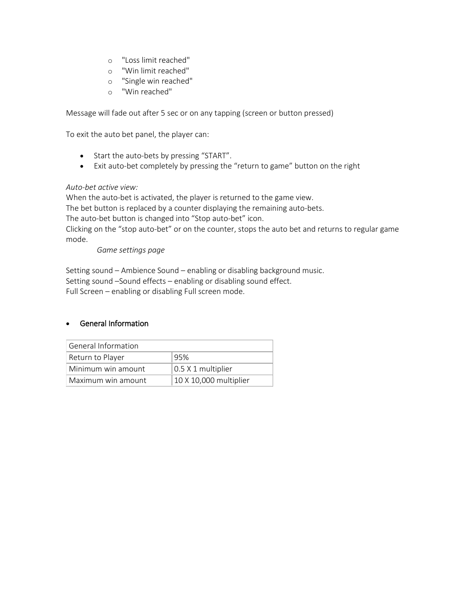- o "Loss limit reached"
- o "Win limit reached"
- o "Single win reached"
- o "Win reached"

Message will fade out after 5 sec or on any tapping (screen or button pressed)

To exit the auto bet panel, the player can:

- Start the auto-bets by pressing "START".
- Exit auto-bet completely by pressing the "return to game" button on the right

### *Auto-bet active view:*

When the auto-bet is activated, the player is returned to the game view.

The bet button is replaced by a counter displaying the remaining auto-bets.

The auto-bet button is changed into "Stop auto-bet" icon.

Clicking on the "stop auto-bet" or on the counter, stops the auto bet and returns to regular game mode.

*Game settings page*

Setting sound – Ambience Sound – enabling or disabling background music. Setting sound –Sound effects – enabling or disabling sound effect. Full Screen – enabling or disabling Full screen mode.

## • General Information

| General Information     |                        |
|-------------------------|------------------------|
| Return to Player<br>95% |                        |
| Minimum win amount      | $0.5$ X 1 multiplier   |
| Maximum win amount      | 10 X 10,000 multiplier |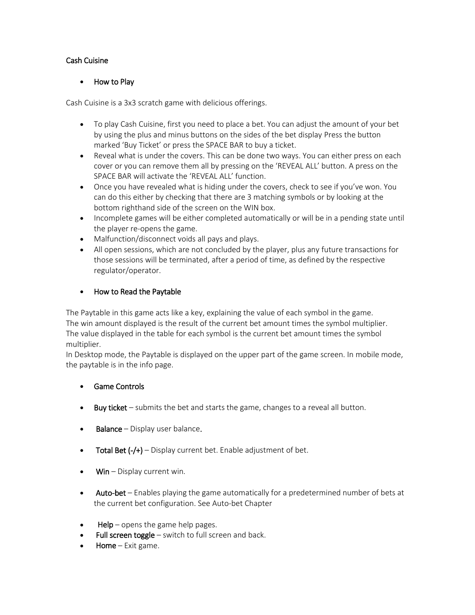## Cash Cuisine

## • How to Play

Cash Cuisine is a 3x3 scratch game with delicious offerings.

- To play Cash Cuisine, first you need to place a bet. You can adjust the amount of your bet by using the plus and minus buttons on the sides of the bet display Press the button marked 'Buy Ticket' or press the SPACE BAR to buy a ticket.
- Reveal what is under the covers. This can be done two ways. You can either press on each cover or you can remove them all by pressing on the 'REVEAL ALL' button. A press on the SPACE BAR will activate the 'REVEAL ALL' function.
- Once you have revealed what is hiding under the covers, check to see if you've won. You can do this either by checking that there are 3 matching symbols or by looking at the bottom righthand side of the screen on the WIN box.
- Incomplete games will be either completed automatically or will be in a pending state until the player re-opens the game.
- Malfunction/disconnect voids all pays and plays.
- All open sessions, which are not concluded by the player, plus any future transactions for those sessions will be terminated, after a period of time, as defined by the respective regulator/operator.

## • How to Read the Paytable

The Paytable in this game acts like a key, explaining the value of each symbol in the game. The win amount displayed is the result of the current bet amount times the symbol multiplier. The value displayed in the table for each symbol is the current bet amount times the symbol multiplier.

In Desktop mode, the Paytable is displayed on the upper part of the game screen. In mobile mode, the paytable is in the info page.

- Game Controls
- Buy ticket submits the bet and starts the game, changes to a reveal all button.
- **Balance** Display user balance.
- **Total Bet (-/+)** Display current bet. Enable adjustment of bet.
- $W$ in Display current win.
- Auto-bet Enables playing the game automatically for a predetermined number of bets at the current bet configuration. See Auto-bet Chapter
- **Help** opens the game help pages.
- Full screen toggle switch to full screen and back.
- Home Exit game.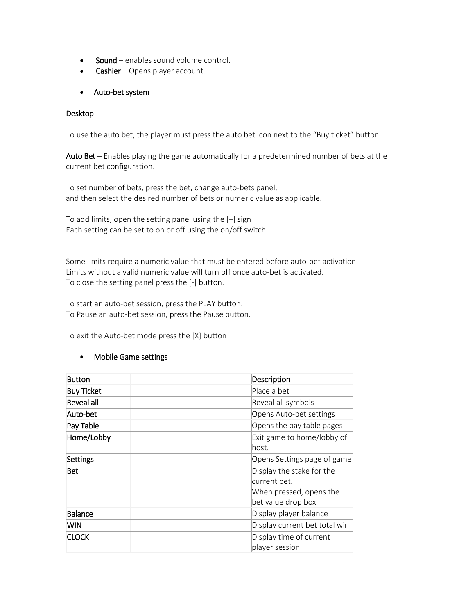- Sound enables sound volume control.
- **Cashier** Opens player account.
- Auto-bet system

### Desktop

To use the auto bet, the player must press the auto bet icon next to the "Buy ticket" button.

Auto Bet – Enables playing the game automatically for a predetermined number of bets at the current bet configuration.

To set number of bets, press the bet, change auto-bets panel, and then select the desired number of bets or numeric value as applicable.

To add limits, open the setting panel using the [+] sign Each setting can be set to on or off using the on/off switch.

Some limits require a numeric value that must be entered before auto-bet activation. Limits without a valid numeric value will turn off once auto-bet is activated. To close the setting panel press the [-] button.

To start an auto-bet session, press the PLAY button. To Pause an auto-bet session, press the Pause button.

To exit the Auto-bet mode press the [X] button

## • Mobile Game settings

| Button            | Description                                                                                |
|-------------------|--------------------------------------------------------------------------------------------|
| <b>Buy Ticket</b> | Place a bet                                                                                |
| Reveal all        | Reveal all symbols                                                                         |
| Auto-bet          | Opens Auto-bet settings                                                                    |
| Pay Table         | Opens the pay table pages                                                                  |
| Home/Lobby        | Exit game to home/lobby of<br>lhost.                                                       |
| Settings          | Opens Settings page of game                                                                |
| Bet               | Display the stake for the<br>current bet.<br>When pressed, opens the<br>bet value drop box |
| Balance           | Display player balance                                                                     |
| <b>WIN</b>        | Display current bet total win                                                              |
| <b>CLOCK</b>      | Display time of current<br>player session                                                  |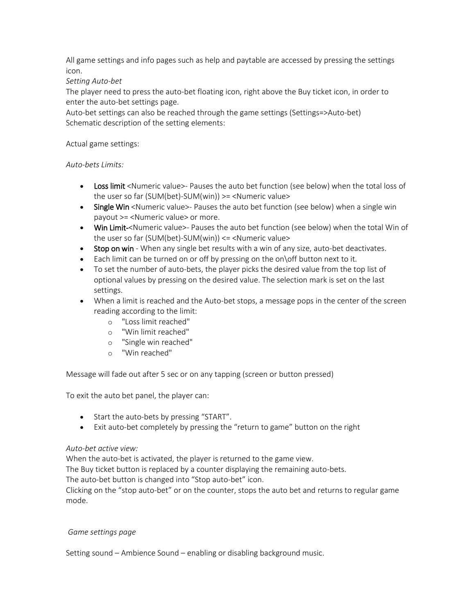All game settings and info pages such as help and paytable are accessed by pressing the settings icon.

## *Setting Auto-bet*

The player need to press the auto-bet floating icon, right above the Buy ticket icon, in order to enter the auto-bet settings page.

Auto-bet settings can also be reached through the game settings (Settings=>Auto-bet) Schematic description of the setting elements:

## Actual game settings:

## *Auto-bets Limits:*

- Loss limit <Numeric value>- Pauses the auto bet function (see below) when the total loss of the user so far (SUM(bet)-SUM(win)) >= <Numeric value>
- Single Win <Numeric value>- Pauses the auto bet function (see below) when a single win payout >= <Numeric value> or more.
- Win Limit-<Numeric value>- Pauses the auto bet function (see below) when the total Win of the user so far (SUM(bet)-SUM(win)) <= <Numeric value>
- Stop on win When any single bet results with a win of any size, auto-bet deactivates.
- Each limit can be turned on or off by pressing on the on\off button next to it.
- To set the number of auto-bets, the player picks the desired value from the top list of optional values by pressing on the desired value. The selection mark is set on the last settings.
- When a limit is reached and the Auto-bet stops, a message pops in the center of the screen reading according to the limit:
	- o "Loss limit reached"
	- o "Win limit reached"
	- o "Single win reached"
	- o "Win reached"

Message will fade out after 5 sec or on any tapping (screen or button pressed)

To exit the auto bet panel, the player can:

- Start the auto-bets by pressing "START".
- Exit auto-bet completely by pressing the "return to game" button on the right

## *Auto-bet active view:*

When the auto-bet is activated, the player is returned to the game view.

The Buy ticket button is replaced by a counter displaying the remaining auto-bets.

The auto-bet button is changed into "Stop auto-bet" icon.

Clicking on the "stop auto-bet" or on the counter, stops the auto bet and returns to regular game mode.

### *Game settings page*

Setting sound – Ambience Sound – enabling or disabling background music.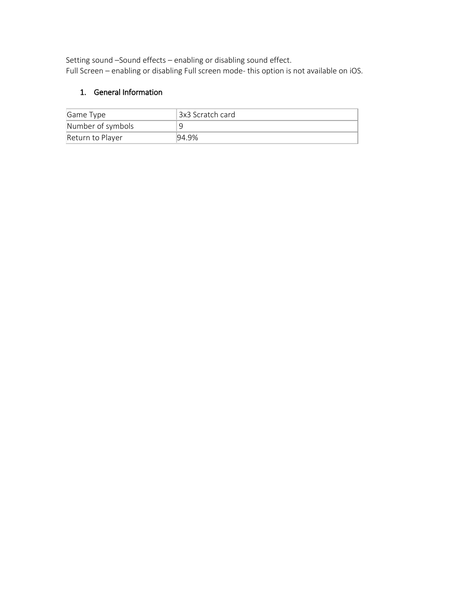Setting sound –Sound effects – enabling or disabling sound effect. Full Screen – enabling or disabling Full screen mode- this option is not available on iOS.

# 1. General Information

| Game Type         | †3x3 Scratch card∣ |
|-------------------|--------------------|
| Number of symbols |                    |
| Return to Player  | 94.9%              |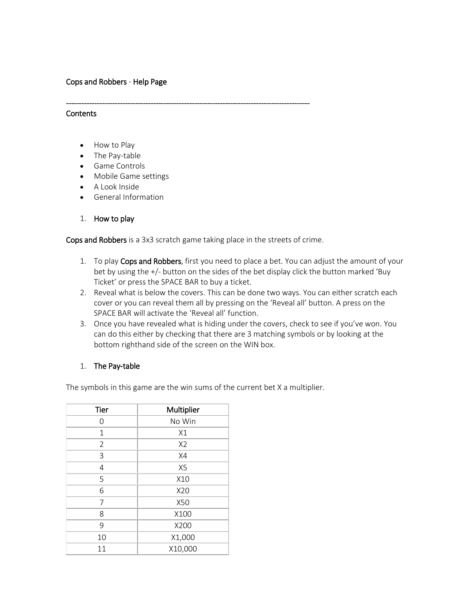### Cops and Robbers - Help Page

#### **Contents**

- How to Play
- The Pay-table
- Game Controls
- Mobile Game settings
- A Look Inside
- General Information
- 1. How to play

Cops and Robbers is a 3x3 scratch game taking place in the streets of crime.

-----------------------------------------------------------------------------------------------

- 1. To play Cops and Robbers, first you need to place a bet. You can adjust the amount of your bet by using the +/- button on the sides of the bet display click the button marked 'Buy Ticket' or press the SPACE BAR to buy a ticket.
- 2. Reveal what is below the covers. This can be done two ways. You can either scratch each cover or you can reveal them all by pressing on the 'Reveal all' button. A press on the SPACE BAR will activate the 'Reveal all' function.
- 3. Once you have revealed what is hiding under the covers, check to see if you've won. You can do this either by checking that there are 3 matching symbols or by looking at the bottom righthand side of the screen on the WIN box.

### 1. The Pay-table

The symbols in this game are the win sums of the current bet X a multiplier.

| Tier           | Multiplier     |
|----------------|----------------|
| O              | No Win         |
| $\mathbf{1}$   | X1             |
| $\overline{2}$ | X <sub>2</sub> |
| 3              | X4             |
| $\overline{4}$ | X <sub>5</sub> |
| 5              | X10            |
| 6              | X20            |
| 7              | X50            |
| 8              | X100           |
| 9              | X200           |
| 10             | X1,000         |
| 11             | X10,000        |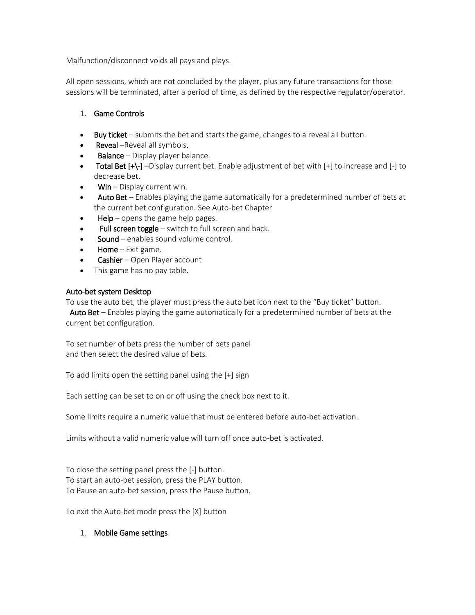Malfunction/disconnect voids all pays and plays.

All open sessions, which are not concluded by the player, plus any future transactions for those sessions will be terminated, after a period of time, as defined by the respective regulator/operator.

## 1. Game Controls

- **Buy ticket** submits the bet and starts the game, changes to a reveal all button.
- **Reveal** –Reveal all symbols.
- **Balance** Display player balance.
- Total Bet  $[+]$  -Display current bet. Enable adjustment of bet with  $[+]$  to increase and  $[.]$  to decrease bet.
- $W$ in Display current win.
- Auto Bet Enables playing the game automatically for a predetermined number of bets at the current bet configuration. See Auto-bet Chapter
- $HeIp$  opens the game help pages.
- Full screen toggle  $-$  switch to full screen and back.
- Sound enables sound volume control.
- **Home** Exit game.
- **Cashier** Open Player account
- This game has no pay table.

## Auto-bet system Desktop

To use the auto bet, the player must press the auto bet icon next to the "Buy ticket" button.

 Auto Bet – Enables playing the game automatically for a predetermined number of bets at the current bet configuration.

To set number of bets press the number of bets panel and then select the desired value of bets.

To add limits open the setting panel using the [+] sign

Each setting can be set to on or off using the check box next to it.

Some limits require a numeric value that must be entered before auto-bet activation.

Limits without a valid numeric value will turn off once auto-bet is activated.

To close the setting panel press the [-] button. To start an auto-bet session, press the PLAY button. To Pause an auto-bet session, press the Pause button.

To exit the Auto-bet mode press the [X] button

## 1. Mobile Game settings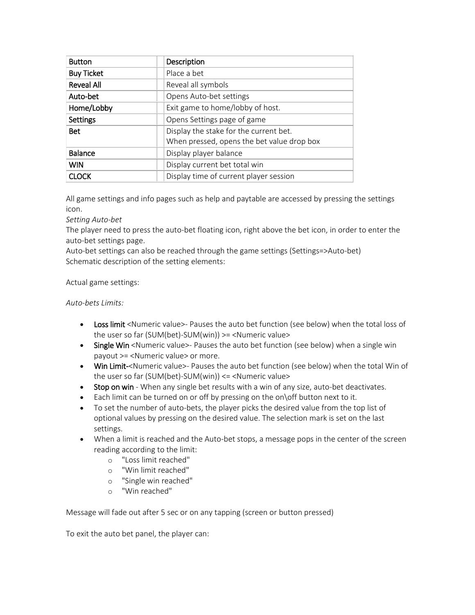| <b>Button</b>     | Description                                |
|-------------------|--------------------------------------------|
| <b>Buy Ticket</b> | Place a bet                                |
| <b>Reveal All</b> | Reveal all symbols                         |
| Auto-bet          | Opens Auto-bet settings                    |
| Home/Lobby        | Exit game to home/lobby of host.           |
| <b>Settings</b>   | Opens Settings page of game                |
| Bet               | Display the stake for the current bet.     |
|                   | When pressed, opens the bet value drop box |
| <b>Balance</b>    | Display player balance                     |
| <b>WIN</b>        | Display current bet total win              |
| <b>CLOCK</b>      | Display time of current player session     |

All game settings and info pages such as help and paytable are accessed by pressing the settings icon.

*Setting Auto-bet*

The player need to press the auto-bet floating icon, right above the bet icon, in order to enter the auto-bet settings page.

Auto-bet settings can also be reached through the game settings (Settings=>Auto-bet) Schematic description of the setting elements:

Actual game settings:

*Auto-bets Limits:*

- Loss limit <Numeric value>- Pauses the auto bet function (see below) when the total loss of the user so far (SUM(bet)-SUM(win)) >= <Numeric value>
- Single Win <Numeric value>- Pauses the auto bet function (see below) when a single win payout >= <Numeric value> or more.
- Win Limit-<Numeric value>- Pauses the auto bet function (see below) when the total Win of the user so far (SUM(bet)-SUM(win)) <= <Numeric value>
- Stop on win When any single bet results with a win of any size, auto-bet deactivates.
- Each limit can be turned on or off by pressing on the on $\overline{O}$  button next to it.
- To set the number of auto-bets, the player picks the desired value from the top list of optional values by pressing on the desired value. The selection mark is set on the last settings.
- When a limit is reached and the Auto-bet stops, a message pops in the center of the screen reading according to the limit:
	- o "Loss limit reached"
	- o "Win limit reached"
	- o "Single win reached"
	- o "Win reached"

Message will fade out after 5 sec or on any tapping (screen or button pressed)

To exit the auto bet panel, the player can: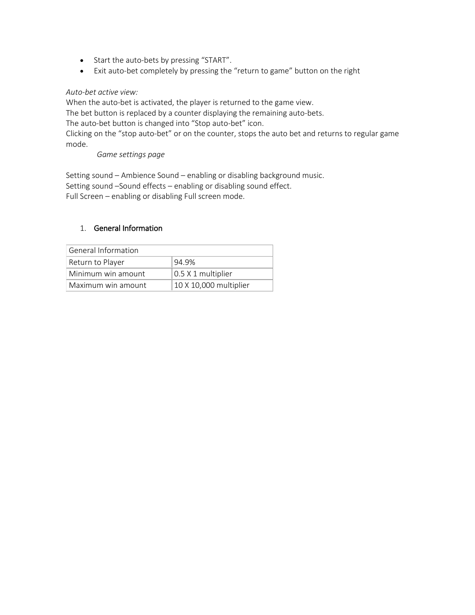- Start the auto-bets by pressing "START".
- Exit auto-bet completely by pressing the "return to game" button on the right

### *Auto-bet active view:*

When the auto-bet is activated, the player is returned to the game view. The bet button is replaced by a counter displaying the remaining auto-bets. The auto-bet button is changed into "Stop auto-bet" icon. Clicking on the "stop auto-bet" or on the counter, stops the auto bet and returns to regular game mode.

*Game settings page*

Setting sound – Ambience Sound – enabling or disabling background music. Setting sound –Sound effects – enabling or disabling sound effect. Full Screen – enabling or disabling Full screen mode.

## 1. General Information

| General Information |                        |
|---------------------|------------------------|
| Return to Player    | 94.9%                  |
| Minimum win amount  | $0.5$ X 1 multiplier   |
| Maximum win amount  | 10 X 10,000 multiplier |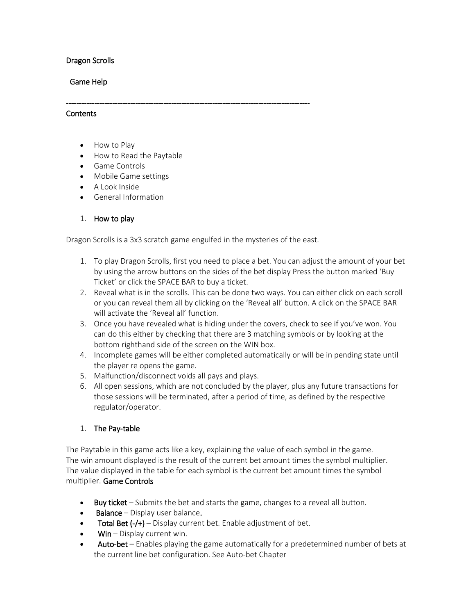## Dragon Scrolls

### Game Help

### **Contents**

- How to Play
- How to Read the Paytable
- Game Controls
- Mobile Game settings
- A Look Inside
- General Information

## 1. How to play

Dragon Scrolls is a 3x3 scratch game engulfed in the mysteries of the east.

-----------------------------------------------------------------------------------------------

- 1. To play Dragon Scrolls, first you need to place a bet. You can adjust the amount of your bet by using the arrow buttons on the sides of the bet display Press the button marked 'Buy Ticket' or click the SPACE BAR to buy a ticket.
- 2. Reveal what is in the scrolls. This can be done two ways. You can either click on each scroll or you can reveal them all by clicking on the 'Reveal all' button. A click on the SPACE BAR will activate the 'Reveal all' function.
- 3. Once you have revealed what is hiding under the covers, check to see if you've won. You can do this either by checking that there are 3 matching symbols or by looking at the bottom righthand side of the screen on the WIN box.
- 4. Incomplete games will be either completed automatically or will be in pending state until the player re opens the game.
- 5. Malfunction/disconnect voids all pays and plays.
- 6. All open sessions, which are not concluded by the player, plus any future transactions for those sessions will be terminated, after a period of time, as defined by the respective regulator/operator.

### 1. The Pay-table

The Paytable in this game acts like a key, explaining the value of each symbol in the game. The win amount displayed is the result of the current bet amount times the symbol multiplier. The value displayed in the table for each symbol is the current bet amount times the symbol multiplier. Game Controls

- Buy ticket Submits the bet and starts the game, changes to a reveal all button.
- **Balance** Display user balance.
- **Total Bet**  $(-/+)$  Display current bet. Enable adjustment of bet.
- $W$ in Display current win.
- Auto-bet Enables playing the game automatically for a predetermined number of bets at the current line bet configuration. See Auto-bet Chapter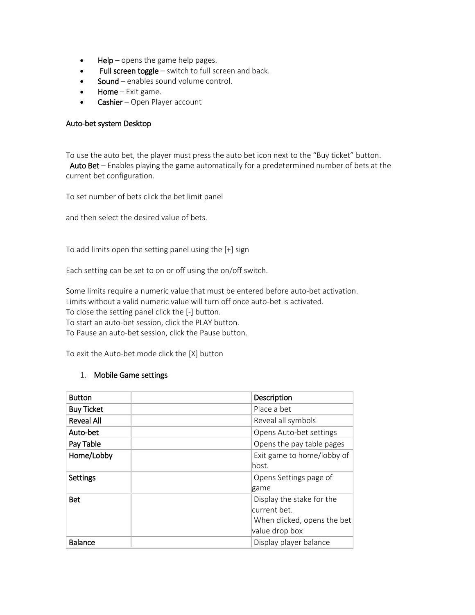- $HeIp$  opens the game help pages.
- Full screen toggle switch to full screen and back.
- Sound enables sound volume control.
- Home  $-$  Exit game.
- Cashier Open Player account

#### Auto-bet system Desktop

To use the auto bet, the player must press the auto bet icon next to the "Buy ticket" button. Auto Bet – Enables playing the game automatically for a predetermined number of bets at the current bet configuration.

To set number of bets click the bet limit panel

and then select the desired value of bets.

To add limits open the setting panel using the [+] sign

Each setting can be set to on or off using the on/off switch.

Some limits require a numeric value that must be entered before auto-bet activation. Limits without a valid numeric value will turn off once auto-bet is activated. To close the setting panel click the [-] button. To start an auto-bet session, click the PLAY button. To Pause an auto-bet session, click the Pause button.

To exit the Auto-bet mode click the [X] button

### 1. Mobile Game settings

| <b>Button</b>     | Description                 |
|-------------------|-----------------------------|
| <b>Buy Ticket</b> | Place a bet                 |
| <b>Reveal All</b> | Reveal all symbols          |
| Auto-bet          | Opens Auto-bet settings     |
| Pay Table         | Opens the pay table pages   |
| Home/Lobby        | Exit game to home/lobby of  |
|                   | lhost.                      |
| <b>Settings</b>   | Opens Settings page of      |
|                   | game                        |
| <b>Bet</b>        | Display the stake for the   |
|                   | current bet.                |
|                   | When clicked, opens the bet |
|                   | value drop box              |
| <b>Balance</b>    | Display player balance      |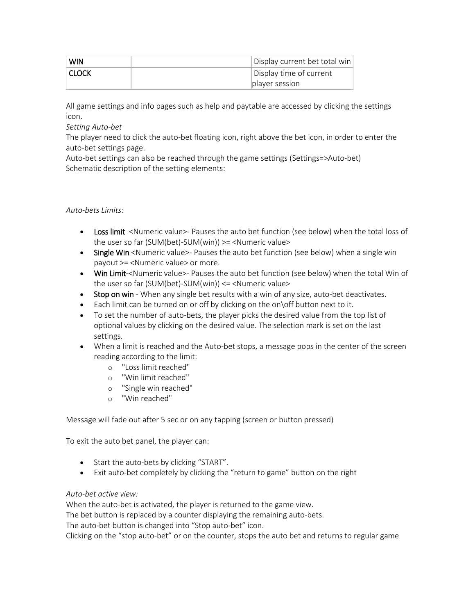| <b>WIN</b>   | Display current bet total win |
|--------------|-------------------------------|
| <b>CLOCK</b> | Display time of current       |
|              | player session                |

All game settings and info pages such as help and paytable are accessed by clicking the settings icon.

*Setting Auto-bet*

The player need to click the auto-bet floating icon, right above the bet icon, in order to enter the auto-bet settings page.

Auto-bet settings can also be reached through the game settings (Settings=>Auto-bet) Schematic description of the setting elements:

## *Auto-bets Limits:*

- Loss limit <Numeric value>- Pauses the auto bet function (see below) when the total loss of the user so far (SUM(bet)-SUM(win)) >= <Numeric value>
- Single Win <Numeric value>- Pauses the auto bet function (see below) when a single win payout >= <Numeric value> or more.
- Win Limit-<Numeric value>- Pauses the auto bet function (see below) when the total Win of the user so far (SUM(bet)-SUM(win)) <= <Numeric value>
- Stop on win When any single bet results with a win of any size, auto-bet deactivates.
- Each limit can be turned on or off by clicking on the on\off button next to it.
- To set the number of auto-bets, the player picks the desired value from the top list of optional values by clicking on the desired value. The selection mark is set on the last settings.
- When a limit is reached and the Auto-bet stops, a message pops in the center of the screen reading according to the limit:
	- o "Loss limit reached"
	- o "Win limit reached"
	- o "Single win reached"
	- o "Win reached"

Message will fade out after 5 sec or on any tapping (screen or button pressed)

To exit the auto bet panel, the player can:

- Start the auto-bets by clicking "START".
- Exit auto-bet completely by clicking the "return to game" button on the right

### *Auto-bet active view:*

When the auto-bet is activated, the player is returned to the game view.

The bet button is replaced by a counter displaying the remaining auto-bets.

The auto-bet button is changed into "Stop auto-bet" icon.

Clicking on the "stop auto-bet" or on the counter, stops the auto bet and returns to regular game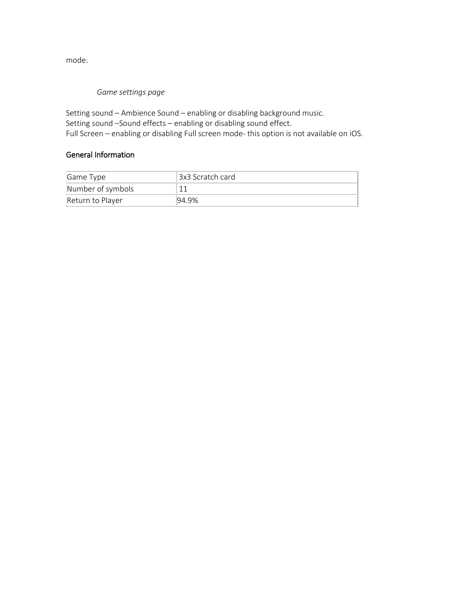mode.

## *Game settings page*

Setting sound – Ambience Sound – enabling or disabling background music. Setting sound –Sound effects – enabling or disabling sound effect. Full Screen – enabling or disabling Full screen mode- this option is not available on iOS.

## General Information

| Game Type         | !3x3 Scratch card |
|-------------------|-------------------|
| Number of symbols |                   |
| Return to Player  | 194.9%            |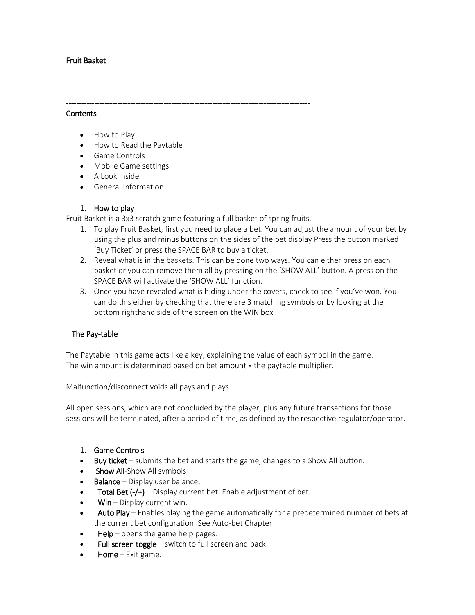## Fruit Basket

### **Contents**

- How to Play
- How to Read the Paytable
- Game Controls
- Mobile Game settings
- A Look Inside
- General Information

## 1. How to play

Fruit Basket is a 3x3 scratch game featuring a full basket of spring fruits.

-----------------------------------------------------------------------------------------------

- 1. To play Fruit Basket, first you need to place a bet. You can adjust the amount of your bet by using the plus and minus buttons on the sides of the bet display Press the button marked 'Buy Ticket' or press the SPACE BAR to buy a ticket.
- 2. Reveal what is in the baskets. This can be done two ways. You can either press on each basket or you can remove them all by pressing on the 'SHOW ALL' button. A press on the SPACE BAR will activate the 'SHOW ALL' function.
- 3. Once you have revealed what is hiding under the covers, check to see if you've won. You can do this either by checking that there are 3 matching symbols or by looking at the bottom righthand side of the screen on the WIN box

## The Pay-table

The Paytable in this game acts like a key, explaining the value of each symbol in the game. The win amount is determined based on bet amount x the paytable multiplier.

Malfunction/disconnect voids all pays and plays.

All open sessions, which are not concluded by the player, plus any future transactions for those sessions will be terminated, after a period of time, as defined by the respective regulator/operator.

### 1. Game Controls

- Buy ticket submits the bet and starts the game, changes to a Show All button.
- **Show All-**Show All symbols
- Balance Display user balance.
- Total Bet  $(-/+)$  Display current bet. Enable adjustment of bet.
- $W$ in Display current win.
- Auto Play Enables playing the game automatically for a predetermined number of bets at the current bet configuration. See Auto-bet Chapter
- $HeIp$  opens the game help pages.
- Full screen toggle  $-$  switch to full screen and back.
- Home Exit game.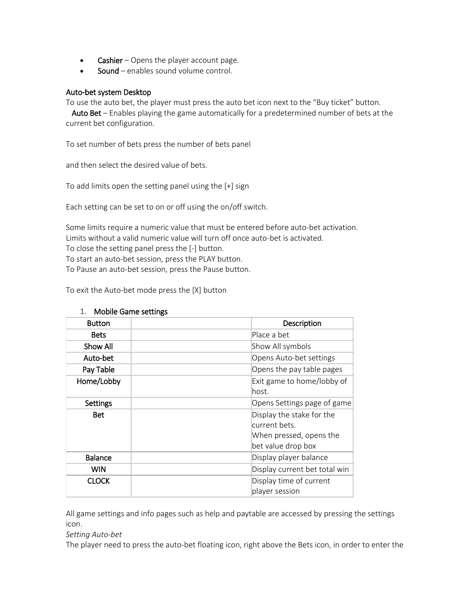- **Cashier** Opens the player account page.
- Sound enables sound volume control.

### Auto-bet system Desktop

To use the auto bet, the player must press the auto bet icon next to the "Buy ticket" button.

 Auto Bet – Enables playing the game automatically for a predetermined number of bets at the current bet configuration.

To set number of bets press the number of bets panel

and then select the desired value of bets.

To add limits open the setting panel using the [+] sign

Each setting can be set to on or off using the on/off switch.

Some limits require a numeric value that must be entered before auto-bet activation. Limits without a valid numeric value will turn off once auto-bet is activated. To close the setting panel press the [-] button. To start an auto-bet session, press the PLAY button.

To Pause an auto-bet session, press the Pause button.

To exit the Auto-bet mode press the [X] button

| <b>Button</b>  | Description                                                                                 |
|----------------|---------------------------------------------------------------------------------------------|
| <b>Bets</b>    | Place a bet                                                                                 |
| Show All       | Show All symbols                                                                            |
| Auto-bet       | Opens Auto-bet settings                                                                     |
| Pay Table      | Opens the pay table pages                                                                   |
| Home/Lobby     | Exit game to home/lobby of<br>lhost.                                                        |
| Settings       | Opens Settings page of game                                                                 |
| <b>Bet</b>     | Display the stake for the<br>current bets.<br>When pressed, opens the<br>bet value drop box |
| <b>Balance</b> | Display player balance                                                                      |
| <b>WIN</b>     | Display current bet total win                                                               |
| <b>CLOCK</b>   | Display time of current<br>player session                                                   |

### 1. Mobile Game settings

All game settings and info pages such as help and paytable are accessed by pressing the settings icon.

*Setting Auto-bet*

The player need to press the auto-bet floating icon, right above the Bets icon, in order to enter the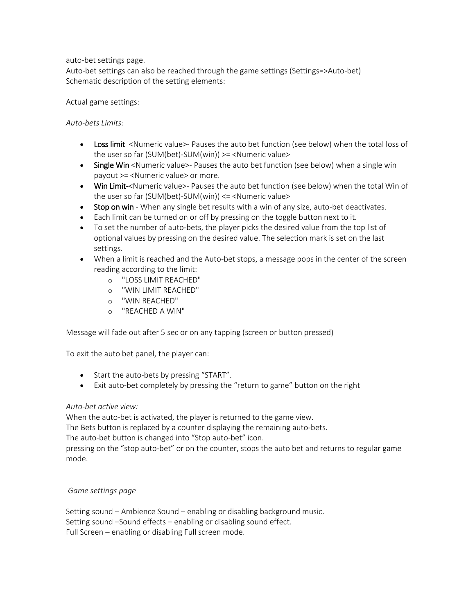auto-bet settings page.

Auto-bet settings can also be reached through the game settings (Settings=>Auto-bet) Schematic description of the setting elements:

Actual game settings:

*Auto-bets Limits:*

- Loss limit <Numeric value>- Pauses the auto bet function (see below) when the total loss of the user so far (SUM(bet)-SUM(win)) >= <Numeric value>
- Single Win <Numeric value>- Pauses the auto bet function (see below) when a single win payout >= <Numeric value> or more.
- Win Limit-<Numeric value>- Pauses the auto bet function (see below) when the total Win of the user so far (SUM(bet)-SUM(win)) <= <Numeric value>
- Stop on win When any single bet results with a win of any size, auto-bet deactivates.
- Each limit can be turned on or off by pressing on the toggle button next to it.
- To set the number of auto-bets, the player picks the desired value from the top list of optional values by pressing on the desired value. The selection mark is set on the last settings.
- When a limit is reached and the Auto-bet stops, a message pops in the center of the screen reading according to the limit:
	- o "LOSS LIMIT REACHED"
	- o "WIN LIMIT REACHED"
	- o "WIN REACHED"
	- o "REACHED A WIN"

Message will fade out after 5 sec or on any tapping (screen or button pressed)

To exit the auto bet panel, the player can:

- Start the auto-bets by pressing "START".
- Exit auto-bet completely by pressing the "return to game" button on the right

### *Auto-bet active view:*

When the auto-bet is activated, the player is returned to the game view.

The Bets button is replaced by a counter displaying the remaining auto-bets.

The auto-bet button is changed into "Stop auto-bet" icon.

pressing on the "stop auto-bet" or on the counter, stops the auto bet and returns to regular game mode.

### *Game settings page*

Setting sound – Ambience Sound – enabling or disabling background music. Setting sound –Sound effects – enabling or disabling sound effect. Full Screen – enabling or disabling Full screen mode.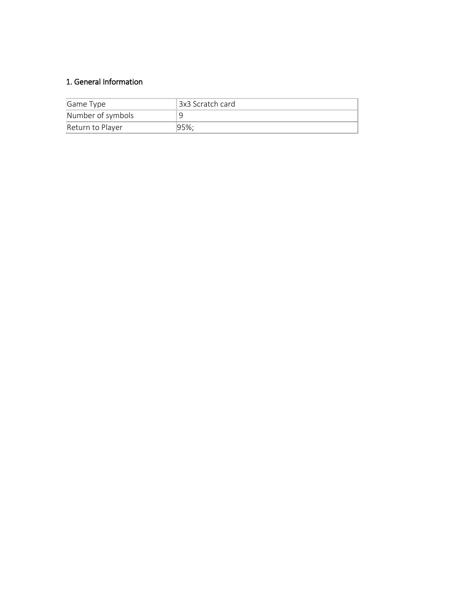## 1. General Information

| Game Type         | 13x3 Scratch card |
|-------------------|-------------------|
| Number of symbols |                   |
| Return to Player  | $ 95\%;$          |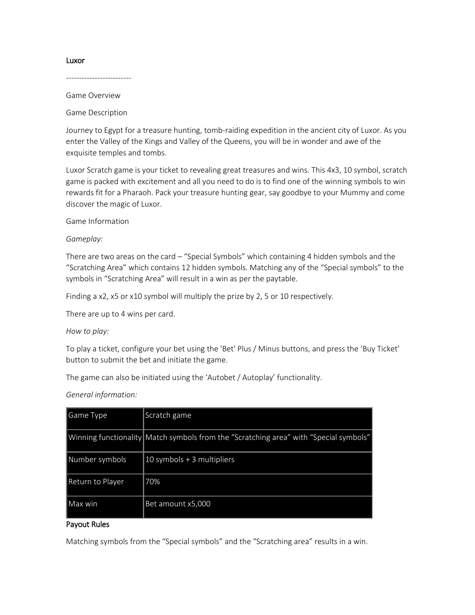#### Luxor

------------------------- Game Overview

Game Description

Journey to Egypt for a treasure hunting, tomb-raiding expedition in the ancient city of Luxor. As you enter the Valley of the Kings and Valley of the Queens, you will be in wonder and awe of the exquisite temples and tombs.

Luxor Scratch game is your ticket to revealing great treasures and wins. This 4x3, 10 symbol, scratch game is packed with excitement and all you need to do is to find one of the winning symbols to win rewards fit for a Pharaoh. Pack your treasure hunting gear, say goodbye to your Mummy and come discover the magic of Luxor.

Game Information

### *Gameplay:*

There are two areas on the card – "Special Symbols" which containing 4 hidden symbols and the "Scratching Area" which contains 12 hidden symbols. Matching any of the "Special symbols" to the symbols in "Scratching Area" will result in a win as per the paytable.

Finding a x2, x5 or x10 symbol will multiply the prize by 2, 5 or 10 respectively.

There are up to 4 wins per card.

### *How to play:*

To play a ticket, configure your bet using the 'Bet' Plus / Minus buttons, and press the 'Buy Ticket' button to submit the bet and initiate the game.

The game can also be initiated using the 'Autobet / Autoplay' functionality.

*General information:*

| Game Type        | Scratch game                                                                          |
|------------------|---------------------------------------------------------------------------------------|
|                  | Winning functionality Match symbols from the "Scratching area" with "Special symbols" |
| Number symbols   | 10 symbols + 3 multipliers                                                            |
| Return to Player | 70%                                                                                   |
| lMax win         | Bet amount x5,000                                                                     |

### Payout Rules

Matching symbols from the "Special symbols" and the "Scratching area" results in a win.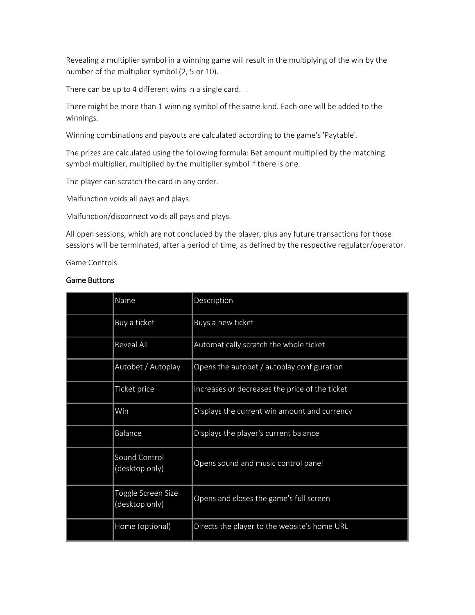Revealing a multiplier symbol in a winning game will result in the multiplying of the win by the number of the multiplier symbol (2, 5 or 10).

There can be up to 4 different wins in a single card...

There might be more than 1 winning symbol of the same kind. Each one will be added to the winnings.

Winning combinations and payouts are calculated according to the game's 'Paytable'.

The prizes are calculated using the following formula: Bet amount multiplied by the matching symbol multiplier, multiplied by the multiplier symbol if there is one.

The player can scratch the card in any order.

Malfunction voids all pays and plays.

Malfunction/disconnect voids all pays and plays.

All open sessions, which are not concluded by the player, plus any future transactions for those sessions will be terminated, after a period of time, as defined by the respective regulator/operator.

Game Controls

#### Game Buttons

| Name                                 | Description                                    |
|--------------------------------------|------------------------------------------------|
| Buy a ticket                         | Buys a new ticket                              |
| <b>Reveal All</b>                    | Automatically scratch the whole ticket         |
| Autobet / Autoplay                   | Opens the autobet / autoplay configuration     |
| Ticket price                         | Increases or decreases the price of the ticket |
| Win                                  | Displays the current win amount and currency   |
| Balance                              | Displays the player's current balance          |
| Sound Control<br>(desktop only)      | Opens sound and music control panel            |
| Toggle Screen Size<br>(desktop only) | Opens and closes the game's full screen        |
| Home (optional)                      | Directs the player to the website's home URL   |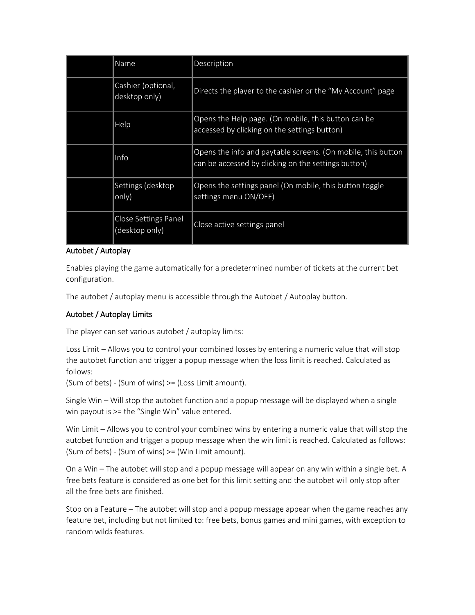| Name                                   | Description                                                                                                         |
|----------------------------------------|---------------------------------------------------------------------------------------------------------------------|
| Cashier (optional,<br>desktop only)    | Directs the player to the cashier or the "My Account" page                                                          |
| Help                                   | Opens the Help page. (On mobile, this button can be<br>accessed by clicking on the settings button)                 |
| Info                                   | Opens the info and paytable screens. (On mobile, this button<br>can be accessed by clicking on the settings button) |
| Settings (desktop<br>only)             | Opens the settings panel (On mobile, this button toggle<br>settings menu ON/OFF)                                    |
| Close Settings Panel<br>(desktop only) | Close active settings panel                                                                                         |

### Autobet / Autoplay

Enables playing the game automatically for a predetermined number of tickets at the current bet configuration.

The autobet / autoplay menu is accessible through the Autobet / Autoplay button.

## Autobet / Autoplay Limits

The player can set various autobet / autoplay limits:

Loss Limit – Allows you to control your combined losses by entering a numeric value that will stop the autobet function and trigger a popup message when the loss limit is reached. Calculated as follows:

(Sum of bets) - (Sum of wins) >= (Loss Limit amount).

Single Win – Will stop the autobet function and a popup message will be displayed when a single win payout is >= the "Single Win" value entered.

Win Limit – Allows you to control your combined wins by entering a numeric value that will stop the autobet function and trigger a popup message when the win limit is reached. Calculated as follows: (Sum of bets) - (Sum of wins) >= (Win Limit amount).

On a Win – The autobet will stop and a popup message will appear on any win within a single bet. A free bets feature is considered as one bet for this limit setting and the autobet will only stop after all the free bets are finished.

Stop on a Feature – The autobet will stop and a popup message appear when the game reaches any feature bet, including but not limited to: free bets, bonus games and mini games, with exception to random wilds features.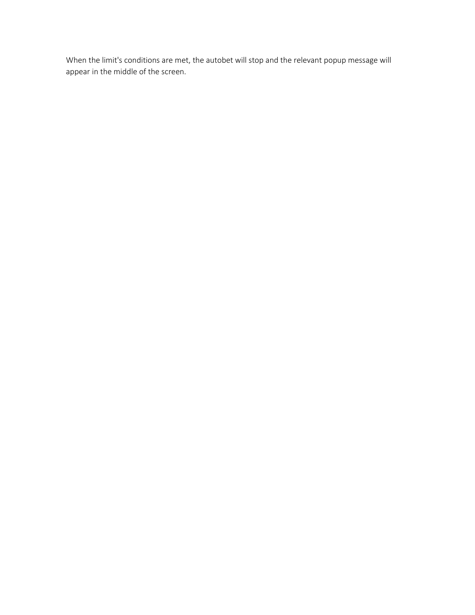When the limit's conditions are met, the autobet will stop and the relevant popup message will appear in the middle of the screen.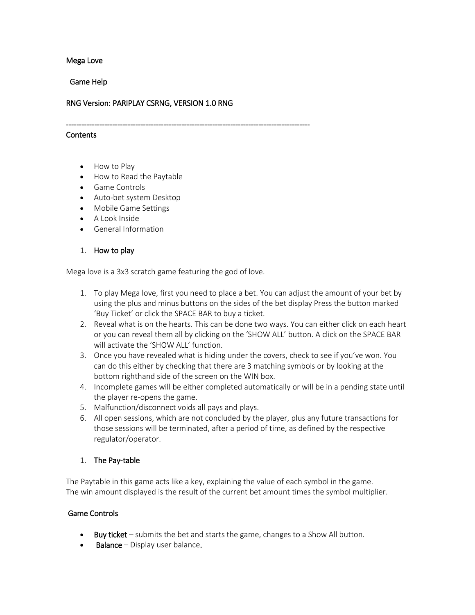### Mega Love

Game Help

### RNG Version: PARIPLAY CSRNG, VERSION 1.0 RNG

-----------------------------------------------------------------------------------------------

#### **Contents**

- How to Play
- How to Read the Paytable
- Game Controls
- Auto-bet system Desktop
- Mobile Game Settings
- A Look Inside
- General Information

### 1. How to play

Mega love is a 3x3 scratch game featuring the god of love.

- 1. To play Mega love, first you need to place a bet. You can adjust the amount of your bet by using the plus and minus buttons on the sides of the bet display Press the button marked 'Buy Ticket' or click the SPACE BAR to buy a ticket.
- 2. Reveal what is on the hearts. This can be done two ways. You can either click on each heart or you can reveal them all by clicking on the 'SHOW ALL' button. A click on the SPACE BAR will activate the 'SHOW ALL' function.
- 3. Once you have revealed what is hiding under the covers, check to see if you've won. You can do this either by checking that there are 3 matching symbols or by looking at the bottom righthand side of the screen on the WIN box.
- 4. Incomplete games will be either completed automatically or will be in a pending state until the player re-opens the game.
- 5. Malfunction/disconnect voids all pays and plays.
- 6. All open sessions, which are not concluded by the player, plus any future transactions for those sessions will be terminated, after a period of time, as defined by the respective regulator/operator.

### 1. The Pay-table

The Paytable in this game acts like a key, explaining the value of each symbol in the game. The win amount displayed is the result of the current bet amount times the symbol multiplier.

### Game Controls

- Buy ticket submits the bet and starts the game, changes to a Show All button.
- **Balance** Display user balance.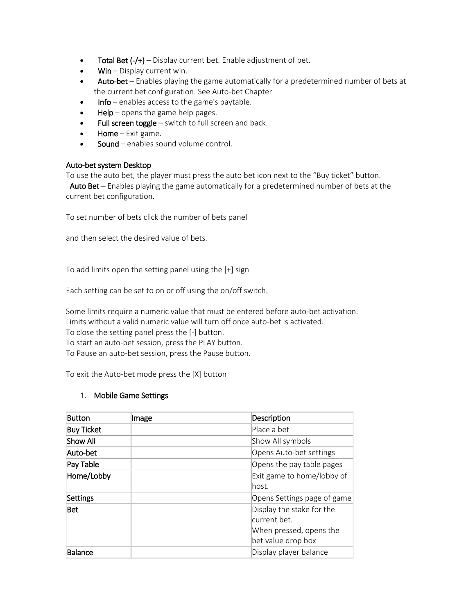- Total Bet  $(-/+)$  Display current bet. Enable adjustment of bet.
- $W$ in Display current win.
- Auto-bet Enables playing the game automatically for a predetermined number of bets at the current bet configuration. See Auto-bet Chapter
- Info enables access to the game's paytable.
- $HeIp$  opens the game help pages.
- Full screen toggle  $-$  switch to full screen and back.
- Home  $-$  Exit game.
- Sound enables sound volume control.

### Auto-bet system Desktop

To use the auto bet, the player must press the auto bet icon next to the "Buy ticket" button.

 Auto Bet – Enables playing the game automatically for a predetermined number of bets at the current bet configuration.

To set number of bets click the number of bets panel

and then select the desired value of bets.

To add limits open the setting panel using the [+] sign

Each setting can be set to on or off using the on/off switch.

Some limits require a numeric value that must be entered before auto-bet activation. Limits without a valid numeric value will turn off once auto-bet is activated. To close the setting panel press the [-] button. To start an auto-bet session, press the PLAY button. To Pause an auto-bet session, press the Pause button.

To exit the Auto-bet mode press the [X] button

### 1. Mobile Game Settings

| <b>Button</b>     | Image | Description                                                                                |
|-------------------|-------|--------------------------------------------------------------------------------------------|
| <b>Buy Ticket</b> |       | Place a bet                                                                                |
| Show All          |       | Show All symbols                                                                           |
| Auto-bet          |       | Opens Auto-bet settings                                                                    |
| Pay Table         |       | Opens the pay table pages                                                                  |
| Home/Lobby        |       | Exit game to home/lobby of<br>lhost.                                                       |
| Settings          |       | Opens Settings page of game                                                                |
| <b>Bet</b>        |       | Display the stake for the<br>current bet.<br>When pressed, opens the<br>bet value drop box |
| Balance           |       | Display player balance                                                                     |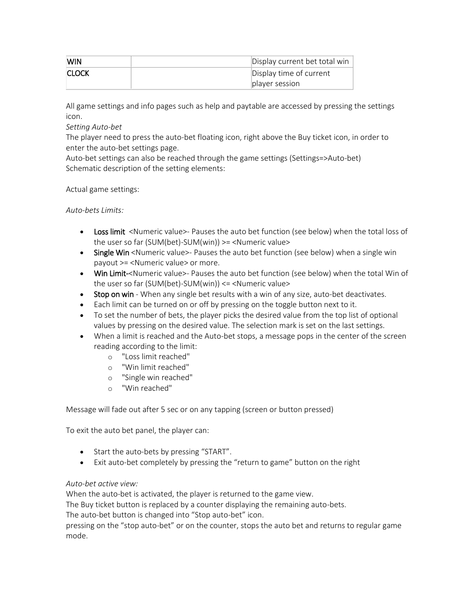| <b>WIN</b>   | Display current bet total win |
|--------------|-------------------------------|
| <b>CLOCK</b> | Display time of current       |
|              | player session                |

All game settings and info pages such as help and paytable are accessed by pressing the settings icon.

*Setting Auto-bet*

The player need to press the auto-bet floating icon, right above the Buy ticket icon, in order to enter the auto-bet settings page.

Auto-bet settings can also be reached through the game settings (Settings=>Auto-bet) Schematic description of the setting elements:

Actual game settings:

*Auto-bets Limits:*

- Loss limit <Numeric value>- Pauses the auto bet function (see below) when the total loss of the user so far (SUM(bet)-SUM(win)) >= <Numeric value>
- Single Win <Numeric value>- Pauses the auto bet function (see below) when a single win payout >= <Numeric value> or more.
- Win Limit-<Numeric value>- Pauses the auto bet function (see below) when the total Win of the user so far (SUM(bet)-SUM(win)) <= <Numeric value>
- Stop on win When any single bet results with a win of any size, auto-bet deactivates.
- Each limit can be turned on or off by pressing on the toggle button next to it.
- To set the number of bets, the player picks the desired value from the top list of optional values by pressing on the desired value. The selection mark is set on the last settings.
- When a limit is reached and the Auto-bet stops, a message pops in the center of the screen reading according to the limit:
	- o "Loss limit reached"
	- o "Win limit reached"
	- o "Single win reached"
	- o "Win reached"

Message will fade out after 5 sec or on any tapping (screen or button pressed)

To exit the auto bet panel, the player can:

- Start the auto-bets by pressing "START".
- Exit auto-bet completely by pressing the "return to game" button on the right

### *Auto-bet active view:*

When the auto-bet is activated, the player is returned to the game view.

The Buy ticket button is replaced by a counter displaying the remaining auto-bets.

The auto-bet button is changed into "Stop auto-bet" icon.

pressing on the "stop auto-bet" or on the counter, stops the auto bet and returns to regular game mode.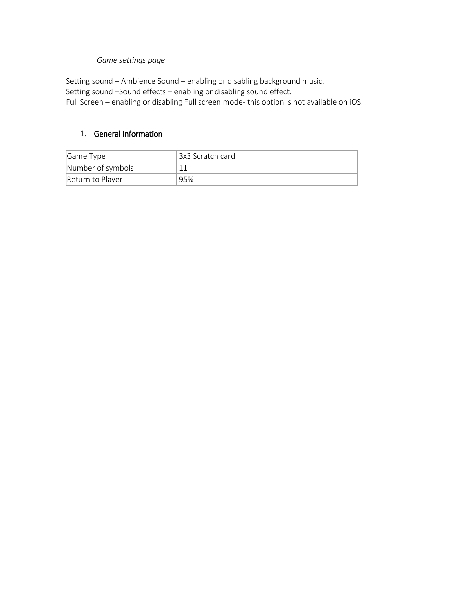## *Game settings page*

Setting sound – Ambience Sound – enabling or disabling background music. Setting sound –Sound effects – enabling or disabling sound effect. Full Screen – enabling or disabling Full screen mode- this option is not available on iOS.

## 1. General Information

| Game Type         | ! 3x3 Scratch card |
|-------------------|--------------------|
| Number of symbols |                    |
| Return to Player  | 95%                |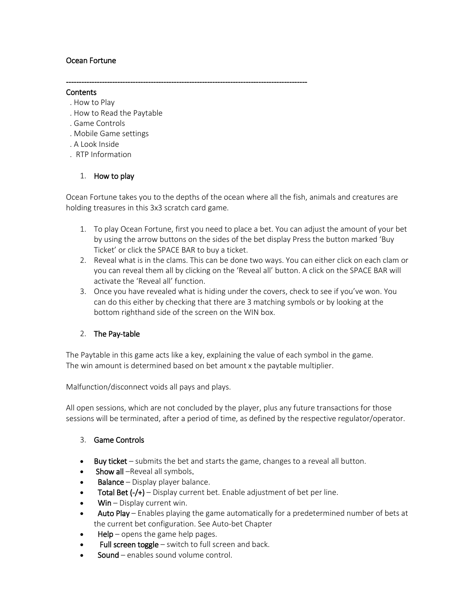## Ocean Fortune

#### **Contents**

- . How to Play
- . How to Read the Paytable
- . Game Controls
- . Mobile Game settings
- . A Look Inside
- . RTP Information

## 1. How to play

Ocean Fortune takes you to the depths of the ocean where all the fish, animals and creatures are holding treasures in this 3x3 scratch card game.

----------------------------------------------------------------------------------------------

- 1. To play Ocean Fortune, first you need to place a bet. You can adjust the amount of your bet by using the arrow buttons on the sides of the bet display Press the button marked 'Buy Ticket' or click the SPACE BAR to buy a ticket.
- 2. Reveal what is in the clams. This can be done two ways. You can either click on each clam or you can reveal them all by clicking on the 'Reveal all' button. A click on the SPACE BAR will activate the 'Reveal all' function.
- 3. Once you have revealed what is hiding under the covers, check to see if you've won. You can do this either by checking that there are 3 matching symbols or by looking at the bottom righthand side of the screen on the WIN box.

## 2. The Pay-table

The Paytable in this game acts like a key, explaining the value of each symbol in the game. The win amount is determined based on bet amount x the paytable multiplier.

Malfunction/disconnect voids all pays and plays.

All open sessions, which are not concluded by the player, plus any future transactions for those sessions will be terminated, after a period of time, as defined by the respective regulator/operator.

## 3. Game Controls

- Buy ticket submits the bet and starts the game, changes to a reveal all button.
- Show all –Reveal all symbols.
- **Balance** Display player balance.
- **Total Bet (-/+)** Display current bet. Enable adjustment of bet per line.
- $W$ in Display current win.
- Auto Play Enables playing the game automatically for a predetermined number of bets at the current bet configuration. See Auto-bet Chapter
- $HeIp$  opens the game help pages.
- Full screen toggle switch to full screen and back.
- Sound enables sound volume control.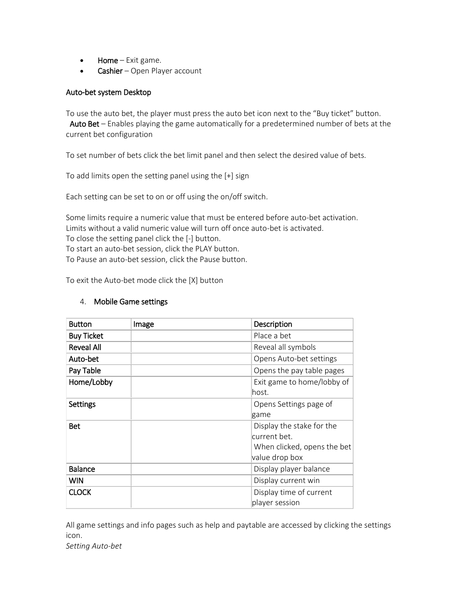- Home Exit game.
- Cashier Open Player account

### Auto-bet system Desktop

To use the auto bet, the player must press the auto bet icon next to the "Buy ticket" button. Auto Bet - Enables playing the game automatically for a predetermined number of bets at the current bet configuration

To set number of bets click the bet limit panel and then select the desired value of bets.

To add limits open the setting panel using the [+] sign

Each setting can be set to on or off using the on/off switch.

Some limits require a numeric value that must be entered before auto-bet activation. Limits without a valid numeric value will turn off once auto-bet is activated. To close the setting panel click the [-] button. To start an auto-bet session, click the PLAY button.

To Pause an auto-bet session, click the Pause button.

To exit the Auto-bet mode click the [X] button

## 4. Mobile Game settings

| <b>Button</b>     | Image | Description                 |
|-------------------|-------|-----------------------------|
| <b>Buy Ticket</b> |       | Place a bet                 |
| <b>Reveal All</b> |       | Reveal all symbols          |
| Auto-bet          |       | Opens Auto-bet settings     |
| Pay Table         |       | Opens the pay table pages   |
| Home/Lobby        |       | Exit game to home/lobby of  |
|                   |       | lhost.                      |
| <b>Settings</b>   |       | Opens Settings page of      |
|                   |       | game                        |
| <b>Bet</b>        |       | Display the stake for the   |
|                   |       | current bet.                |
|                   |       | When clicked, opens the bet |
|                   |       | value drop box              |
| <b>Balance</b>    |       | Display player balance      |
| <b>WIN</b>        |       | Display current win         |
| <b>CLOCK</b>      |       | Display time of current     |
|                   |       | player session              |

All game settings and info pages such as help and paytable are accessed by clicking the settings icon.

*Setting Auto-bet*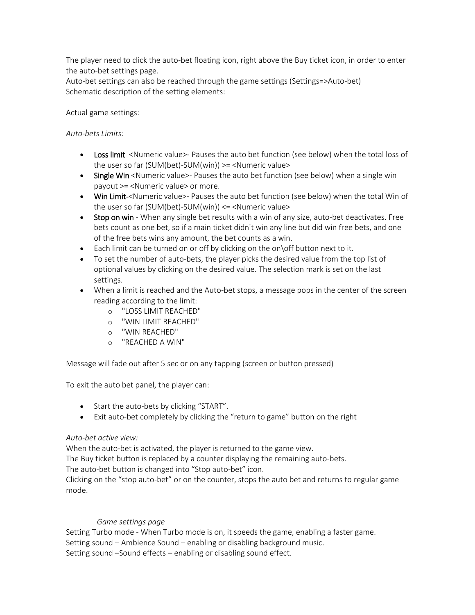The player need to click the auto-bet floating icon, right above the Buy ticket icon, in order to enter the auto-bet settings page.

Auto-bet settings can also be reached through the game settings (Settings=>Auto-bet) Schematic description of the setting elements:

Actual game settings:

*Auto-bets Limits:*

- Loss limit <Numeric value>- Pauses the auto bet function (see below) when the total loss of the user so far (SUM(bet)-SUM(win)) >= <Numeric value>
- Single Win <Numeric value>- Pauses the auto bet function (see below) when a single win payout >= <Numeric value> or more.
- Win Limit-<Numeric value>- Pauses the auto bet function (see below) when the total Win of the user so far (SUM(bet)-SUM(win)) <= <Numeric value>
- Stop on win When any single bet results with a win of any size, auto-bet deactivates. Free bets count as one bet, so if a main ticket didn't win any line but did win free bets, and one of the free bets wins any amount, the bet counts as a win.
- Each limit can be turned on or off by clicking on the on\off button next to it.
- To set the number of auto-bets, the player picks the desired value from the top list of optional values by clicking on the desired value. The selection mark is set on the last settings.
- When a limit is reached and the Auto-bet stops, a message pops in the center of the screen reading according to the limit:
	- o "LOSS LIMIT REACHED"
	- o "WIN LIMIT REACHED"
	- o "WIN REACHED"
	- o "REACHED A WIN"

Message will fade out after 5 sec or on any tapping (screen or button pressed)

To exit the auto bet panel, the player can:

- Start the auto-bets by clicking "START".
- Exit auto-bet completely by clicking the "return to game" button on the right

## *Auto-bet active view:*

When the auto-bet is activated, the player is returned to the game view.

The Buy ticket button is replaced by a counter displaying the remaining auto-bets.

The auto-bet button is changed into "Stop auto-bet" icon.

Clicking on the "stop auto-bet" or on the counter, stops the auto bet and returns to regular game mode.

## *Game settings page*

Setting Turbo mode - When Turbo mode is on, it speeds the game, enabling a faster game. Setting sound – Ambience Sound – enabling or disabling background music. Setting sound –Sound effects – enabling or disabling sound effect.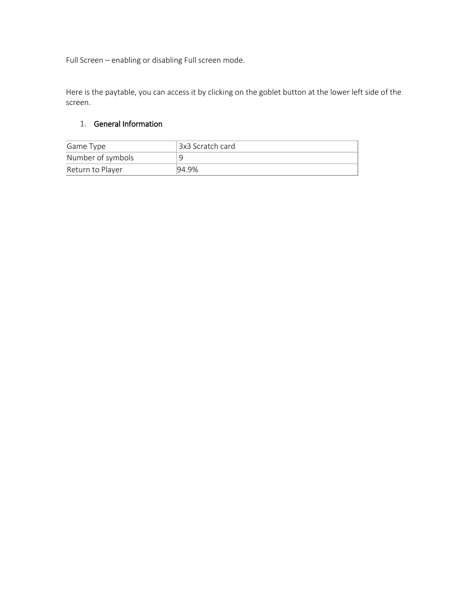Full Screen – enabling or disabling Full screen mode.

Here is the paytable, you can access it by clicking on the goblet button at the lower left side of the screen.

# 1. General Information

| Game Type         | '3x3 Scratch card |
|-------------------|-------------------|
| Number of symbols |                   |
| Return to Player  | 194.9%            |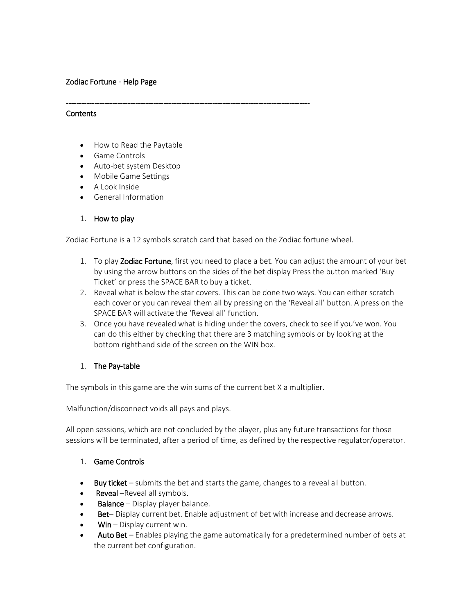## Zodiac Fortune - Help Page

#### **Contents**

- How to Read the Paytable
- Game Controls
- Auto-bet system Desktop
- Mobile Game Settings
- A Look Inside
- General Information
- 1. How to play

Zodiac Fortune is a 12 symbols scratch card that based on the Zodiac fortune wheel.

-----------------------------------------------------------------------------------------------

- 1. To play Zodiac Fortune, first you need to place a bet. You can adjust the amount of your bet by using the arrow buttons on the sides of the bet display Press the button marked 'Buy Ticket' or press the SPACE BAR to buy a ticket.
- 2. Reveal what is below the star covers. This can be done two ways. You can either scratch each cover or you can reveal them all by pressing on the 'Reveal all' button. A press on the SPACE BAR will activate the 'Reveal all' function.
- 3. Once you have revealed what is hiding under the covers, check to see if you've won. You can do this either by checking that there are 3 matching symbols or by looking at the bottom righthand side of the screen on the WIN box.

### 1. The Pay-table

The symbols in this game are the win sums of the current bet X a multiplier.

Malfunction/disconnect voids all pays and plays.

All open sessions, which are not concluded by the player, plus any future transactions for those sessions will be terminated, after a period of time, as defined by the respective regulator/operator.

- 1. Game Controls
- Buy ticket submits the bet and starts the game, changes to a reveal all button.
- **Reveal** –Reveal all symbols.
- **Balance** Display player balance.
- Bet– Display current bet. Enable adjustment of bet with increase and decrease arrows.
- $W$ in Display current win.
- Auto Bet Enables playing the game automatically for a predetermined number of bets at the current bet configuration.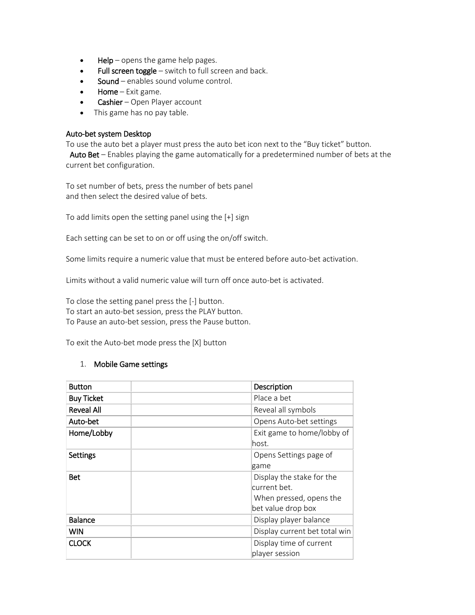- $HeIp$  opens the game help pages.
- Full screen toggle switch to full screen and back.
- Sound enables sound volume control.
- Home Exit game.
- Cashier Open Player account
- This game has no pay table.

### Auto-bet system Desktop

To use the auto bet a player must press the auto bet icon next to the "Buy ticket" button.

Auto Bet – Enables playing the game automatically for a predetermined number of bets at the current bet configuration.

To set number of bets, press the number of bets panel and then select the desired value of bets.

To add limits open the setting panel using the [+] sign

Each setting can be set to on or off using the on/off switch.

Some limits require a numeric value that must be entered before auto-bet activation.

Limits without a valid numeric value will turn off once auto-bet is activated.

To close the setting panel press the [-] button. To start an auto-bet session, press the PLAY button. To Pause an auto-bet session, press the Pause button.

To exit the Auto-bet mode press the [X] button

### 1. Mobile Game settings

| <b>Button</b>     | Description                                                                                |
|-------------------|--------------------------------------------------------------------------------------------|
| <b>Buy Ticket</b> | Place a bet                                                                                |
| <b>Reveal All</b> | Reveal all symbols                                                                         |
| Auto-bet          | Opens Auto-bet settings                                                                    |
| Home/Lobby        | Exit game to home/lobby of<br>lhost.                                                       |
| <b>Settings</b>   | Opens Settings page of<br>game                                                             |
| <b>Bet</b>        | Display the stake for the<br>current bet.<br>When pressed, opens the<br>bet value drop box |
| <b>Balance</b>    | Display player balance                                                                     |
| <b>WIN</b>        | Display current bet total win                                                              |
| <b>CLOCK</b>      | Display time of current<br>player session                                                  |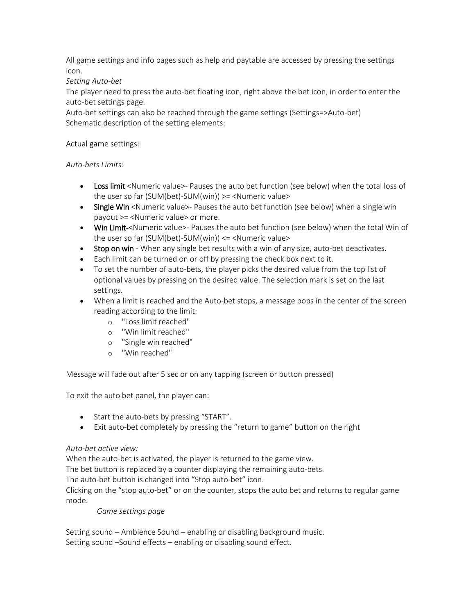All game settings and info pages such as help and paytable are accessed by pressing the settings icon.

## *Setting Auto-bet*

The player need to press the auto-bet floating icon, right above the bet icon, in order to enter the auto-bet settings page.

Auto-bet settings can also be reached through the game settings (Settings=>Auto-bet) Schematic description of the setting elements:

## Actual game settings:

## *Auto-bets Limits:*

- Loss limit <Numeric value>- Pauses the auto bet function (see below) when the total loss of the user so far (SUM(bet)-SUM(win)) >= <Numeric value>
- Single Win <Numeric value>- Pauses the auto bet function (see below) when a single win payout >= <Numeric value> or more.
- Win Limit-<Numeric value>- Pauses the auto bet function (see below) when the total Win of the user so far (SUM(bet)-SUM(win)) <= <Numeric value>
- Stop on win When any single bet results with a win of any size, auto-bet deactivates.
- Each limit can be turned on or off by pressing the check box next to it.
- To set the number of auto-bets, the player picks the desired value from the top list of optional values by pressing on the desired value. The selection mark is set on the last settings.
- When a limit is reached and the Auto-bet stops, a message pops in the center of the screen reading according to the limit:
	- o "Loss limit reached"
	- o "Win limit reached"
	- o "Single win reached"
	- o "Win reached"

Message will fade out after 5 sec or on any tapping (screen or button pressed)

To exit the auto bet panel, the player can:

- Start the auto-bets by pressing "START".
- Exit auto-bet completely by pressing the "return to game" button on the right

## *Auto-bet active view:*

When the auto-bet is activated, the player is returned to the game view.

The bet button is replaced by a counter displaying the remaining auto-bets.

The auto-bet button is changed into "Stop auto-bet" icon.

Clicking on the "stop auto-bet" or on the counter, stops the auto bet and returns to regular game mode.

*Game settings page*

Setting sound – Ambience Sound – enabling or disabling background music. Setting sound –Sound effects – enabling or disabling sound effect.